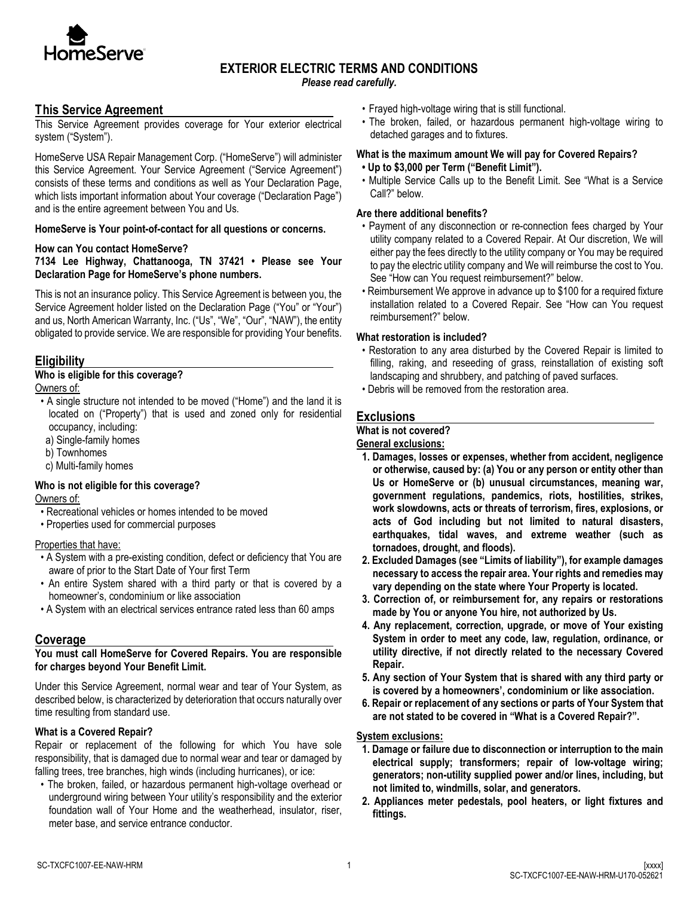

# **EXTERIOR ELECTRIC TERMS AND CONDITIONS**

*Please read carefully.*

### **This Service Agreement**

This Service Agreement provides coverage for Your exterior electrical system ("System").

HomeServe USA Repair Management Corp. ("HomeServe") will administer this Service Agreement. Your Service Agreement ("Service Agreement") consists of these terms and conditions as well as Your Declaration Page, which lists important information about Your coverage ("Declaration Page") and is the entire agreement between You and Us.

#### **HomeServe is Your point-of-contact for all questions or concerns.**

#### **How can You contact HomeServe?**

#### **7134 Lee Highway, Chattanooga, TN 37421 • Please see Your Declaration Page for HomeServe's phone numbers.**

This is not an insurance policy. This Service Agreement is between you, the Service Agreement holder listed on the Declaration Page ("You" or "Your") and us, North American Warranty, Inc. ("Us", "We", "Our", "NAW"), the entity obligated to provide service. We are responsible for providing Your benefits.

### **Eligibility**

# **Who is eligible for this coverage?**

Owners of:

- A single structure not intended to be moved ("Home") and the land it is located on ("Property") that is used and zoned only for residential occupancy, including:
- a) Single-family homes
- b) Townhomes
- c) Multi-family homes

#### **Who is not eligible for this coverage?** Owners of:

- Recreational vehicles or homes intended to be moved
- Properties used for commercial purposes

#### Properties that have:

- A System with a pre-existing condition, defect or deficiency that You are aware of prior to the Start Date of Your first Term
- An entire System shared with a third party or that is covered by a homeowner's, condominium or like association
- A System with an electrical services entrance rated less than 60 amps

### **Coverage**

#### **You must call HomeServe for Covered Repairs. You are responsible for charges beyond Your Benefit Limit.**

Under this Service Agreement, normal wear and tear of Your System, as described below, is characterized by deterioration that occurs naturally over time resulting from standard use.

#### **What is a Covered Repair?**

Repair or replacement of the following for which You have sole responsibility, that is damaged due to normal wear and tear or damaged by falling trees, tree branches, high winds (including hurricanes), or ice:

• The broken, failed, or hazardous permanent high-voltage overhead or underground wiring between Your utility's responsibility and the exterior foundation wall of Your Home and the weatherhead, insulator, riser, meter base, and service entrance conductor.

- Frayed high-voltage wiring that is still functional.
- The broken, failed, or hazardous permanent high-voltage wiring to detached garages and to fixtures.

### **What is the maximum amount We will pay for Covered Repairs?**

- **Up to \$3,000 per Term ("Benefit Limit").**
- Multiple Service Calls up to the Benefit Limit. See "What is a Service Call?" below.

#### **Are there additional benefits?**

- Payment of any disconnection or re-connection fees charged by Your utility company related to a Covered Repair. At Our discretion, We will either pay the fees directly to the utility company or You may be required to pay the electric utility company and We will reimburse the cost to You. See "How can You request reimbursement?" below.
- Reimbursement We approve in advance up to \$100 for a required fixture installation related to a Covered Repair. See "How can You request reimbursement?" below.

#### **What restoration is included?**

- Restoration to any area disturbed by the Covered Repair is limited to filling, raking, and reseeding of grass, reinstallation of existing soft landscaping and shrubbery, and patching of paved surfaces.
- Debris will be removed from the restoration area.

### **Exclusions**

### **What is not covered?**

#### **General exclusions:**

- **1. Damages, losses or expenses, whether from accident, negligence or otherwise, caused by: (a) You or any person or entity other than Us or HomeServe or (b) unusual circumstances, meaning war, government regulations, pandemics, riots, hostilities, strikes, work slowdowns, acts or threats of terrorism, fires, explosions, or acts of God including but not limited to natural disasters, earthquakes, tidal waves, and extreme weather (such as tornadoes, drought, and floods).**
- **2. Excluded Damages (see "Limits of liability"), for example damages necessary to access the repair area. Your rights and remedies may vary depending on the state where Your Property is located.**
- **3. Correction of, or reimbursement for, any repairs or restorations made by You or anyone You hire, not authorized by Us.**
- **4. Any replacement, correction, upgrade, or move of Your existing System in order to meet any code, law, regulation, ordinance, or utility directive, if not directly related to the necessary Covered Repair.**
- **5. Any section of Your System that is shared with any third party or is covered by a homeowners', condominium or like association.**
- **6. Repair or replacement of any sections or parts of Your System that are not stated to be covered in "What is a Covered Repair?".**

#### **System exclusions:**

- **1. Damage or failure due to disconnection or interruption to the main electrical supply; transformers; repair of low-voltage wiring; generators; non-utility supplied power and/or lines, including, but not limited to, windmills, solar, and generators.**
- **2. Appliances meter pedestals, pool heaters, or light fixtures and fittings.**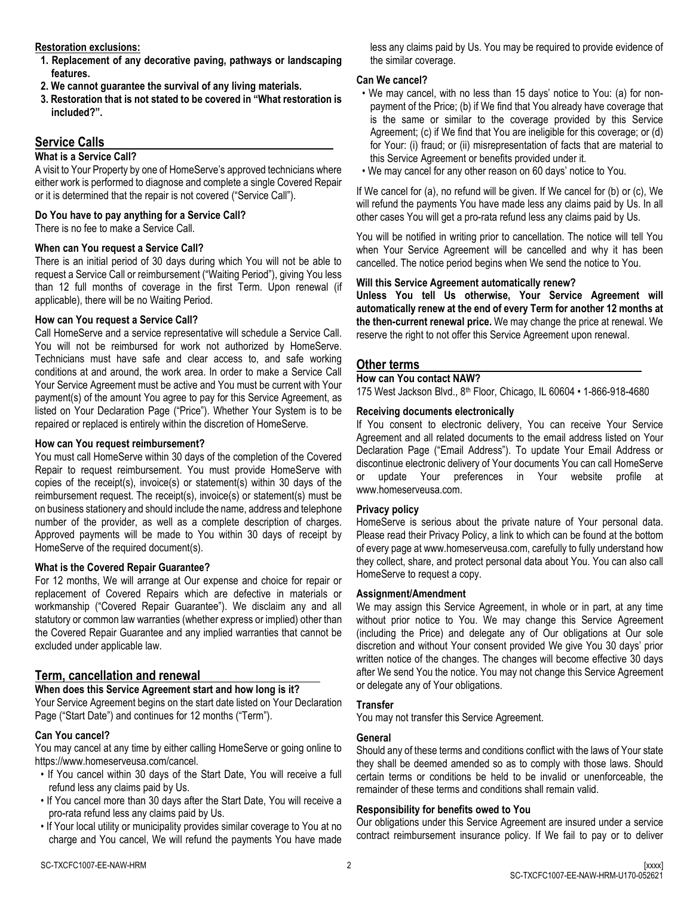#### **Restoration exclusions:**

- **1. Replacement of any decorative paving, pathways or landscaping features.**
- **2. We cannot guarantee the survival of any living materials.**
- **3. Restoration that is not stated to be covered in "What restoration is included?".**

# **Service Calls**

## **What is a Service Call?**

A visit to Your Property by one of HomeServe's approved technicians where either work is performed to diagnose and complete a single Covered Repair or it is determined that the repair is not covered ("Service Call").

## **Do You have to pay anything for a Service Call?**

There is no fee to make a Service Call.

## **When can You request a Service Call?**

There is an initial period of 30 days during which You will not be able to request a Service Call or reimbursement ("Waiting Period"), giving You less than 12 full months of coverage in the first Term. Upon renewal (if applicable), there will be no Waiting Period.

## **How can You request a Service Call?**

Call HomeServe and a service representative will schedule a Service Call. You will not be reimbursed for work not authorized by HomeServe. Technicians must have safe and clear access to, and safe working conditions at and around, the work area. In order to make a Service Call Your Service Agreement must be active and You must be current with Your payment(s) of the amount You agree to pay for this Service Agreement, as listed on Your Declaration Page ("Price"). Whether Your System is to be repaired or replaced is entirely within the discretion of HomeServe.

# **How can You request reimbursement?**

You must call HomeServe within 30 days of the completion of the Covered Repair to request reimbursement. You must provide HomeServe with copies of the receipt(s), invoice(s) or statement(s) within 30 days of the reimbursement request. The receipt(s), invoice(s) or statement(s) must be on business stationery and should include the name, address and telephone number of the provider, as well as a complete description of charges. Approved payments will be made to You within 30 days of receipt by HomeServe of the required document(s).

## **What is the Covered Repair Guarantee?**

For 12 months, We will arrange at Our expense and choice for repair or replacement of Covered Repairs which are defective in materials or workmanship ("Covered Repair Guarantee"). We disclaim any and all statutory or common law warranties (whether express or implied) other than the Covered Repair Guarantee and any implied warranties that cannot be excluded under applicable law.

# **Term, cancellation and renewal**

# **When does this Service Agreement start and how long is it?**

Your Service Agreement begins on the start date listed on Your Declaration Page ("Start Date") and continues for 12 months ("Term").

## **Can You cancel?**

You may cancel at any time by either calling HomeServe or going online to https://www.homeserveusa.com/cancel.

- If You cancel within 30 days of the Start Date, You will receive a full refund less any claims paid by Us.
- If You cancel more than 30 days after the Start Date, You will receive a pro-rata refund less any claims paid by Us.
- If Your local utility or municipality provides similar coverage to You at no charge and You cancel, We will refund the payments You have made

less any claims paid by Us. You may be required to provide evidence of the similar coverage.

### **Can We cancel?**

- We may cancel, with no less than 15 days' notice to You: (a) for nonpayment of the Price; (b) if We find that You already have coverage that is the same or similar to the coverage provided by this Service Agreement; (c) if We find that You are ineligible for this coverage; or (d) for Your: (i) fraud; or (ii) misrepresentation of facts that are material to this Service Agreement or benefits provided under it.
- We may cancel for any other reason on 60 days' notice to You.

If We cancel for (a), no refund will be given. If We cancel for (b) or (c), We will refund the payments You have made less any claims paid by Us. In all other cases You will get a pro-rata refund less any claims paid by Us.

You will be notified in writing prior to cancellation. The notice will tell You when Your Service Agreement will be cancelled and why it has been cancelled. The notice period begins when We send the notice to You.

## **Will this Service Agreement automatically renew?**

**Unless You tell Us otherwise, Your Service Agreement will automatically renew at the end of every Term for another 12 months at the then-current renewal price.** We may change the price at renewal. We reserve the right to not offer this Service Agreement upon renewal.

### **Other terms**

### **How can You contact NAW?**

175 West Jackson Blvd., 8th Floor, Chicago, IL 60604 • 1-866-918-4680

# **Receiving documents electronically**

If You consent to electronic delivery, You can receive Your Service Agreement and all related documents to the email address listed on Your Declaration Page ("Email Address"). To update Your Email Address or discontinue electronic delivery of Your documents You can call HomeServe or update Your preferences in Your website profile at www.homeserveusa.com.

## **Privacy policy**

HomeServe is serious about the private nature of Your personal data. Please read their Privacy Policy, a link to which can be found at the bottom of every page at www.homeserveusa.com, carefully to fully understand how they collect, share, and protect personal data about You. You can also call HomeServe to request a copy.

## **Assignment/Amendment**

We may assign this Service Agreement, in whole or in part, at any time without prior notice to You. We may change this Service Agreement (including the Price) and delegate any of Our obligations at Our sole discretion and without Your consent provided We give You 30 days' prior written notice of the changes. The changes will become effective 30 days after We send You the notice. You may not change this Service Agreement or delegate any of Your obligations.

## **Transfer**

You may not transfer this Service Agreement.

# **General**

Should any of these terms and conditions conflict with the laws of Your state they shall be deemed amended so as to comply with those laws. Should certain terms or conditions be held to be invalid or unenforceable, the remainder of these terms and conditions shall remain valid.

# **Responsibility for benefits owed to You**

Our obligations under this Service Agreement are insured under a service contract reimbursement insurance policy. If We fail to pay or to deliver